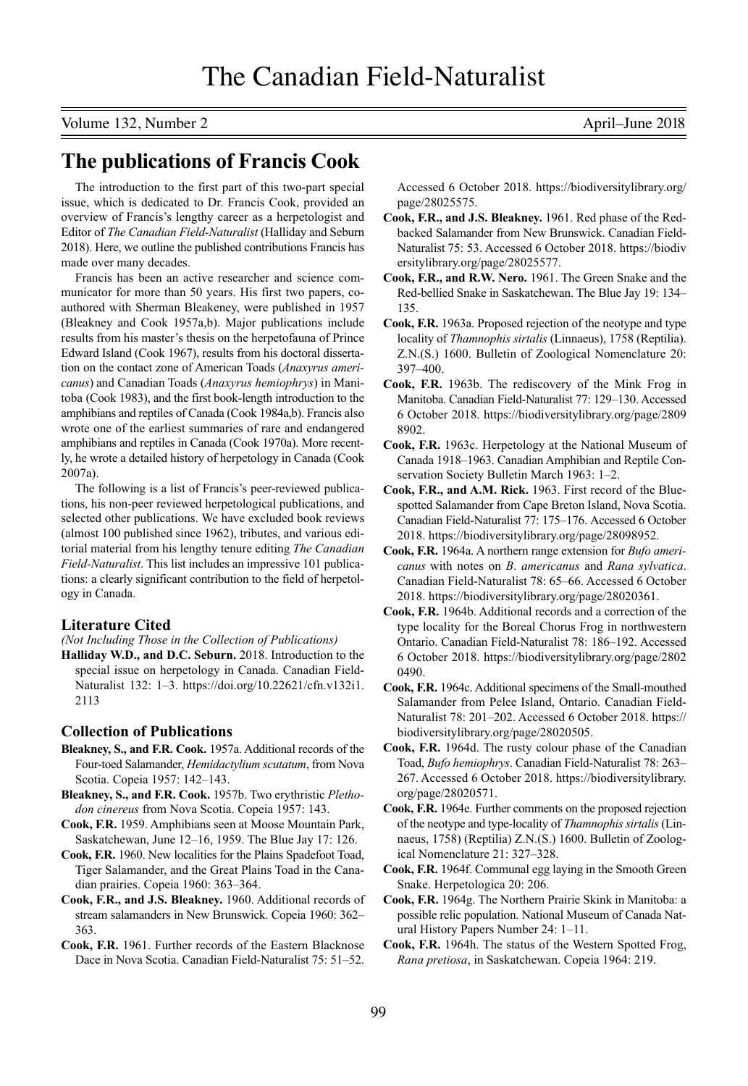Volume 132, Number 2 April–June 2018

## **The publications of Francis Cook**

The introduction to the first part of this two-part special issue, which is dedicated to Dr. Francis Cook, provided an overview of Francis's lengthy career as a herpetologist and Editor of *The Canadian Field-Naturalist* (Halliday and Seburn 2018). Here, we outline the published contributions Francis has made over many decades.

Francis has been an active researcher and science communicator for more than 50 years. His first two papers, coauthored with Sherman Bleakeney, were published in 1957 (Bleakney and Cook 1957a,b). Major publications include results from his master's thesis on the herpetofauna of Prince Edward Island (Cook 1967), results from his doctoral dissertation on the contact zone of American Toads (*Anaxyrus americanus*) and Canadian Toads (*Anaxyrus hemiophrys*) in Manitoba (Cook 1983), and the first book-length introduction to the amphibians and reptiles of Canada (Cook 1984a,b). Francis also wrote one of the earliest summaries of rare and endangered amphibians and reptiles in Canada (Cook 1970a). More recently, he wrote a detailed history of herpetology in Canada (Cook 2007a).

The following is a list of Francis's peer-reviewed publications, his non-peer reviewed herpetological publications, and selected other publications. We have excluded book reviews (almost 100 published since 1962), tributes, and various editorial material from his lengthy tenure editing *The Canadian Field-Naturalist*. This list includes an impressive 101 publications: a clearly significant contribution to the field of herpetology in Canada.

## **Literature Cited**

*(Not Including Those in the Collection of Publications)*

**Halliday W.D., and D.C. Seburn.** 2018. Introduction to the special issue on herpetology in Canada. Canadian Field-Naturalist 132: 1–3. [https://doi.org/10.22621/cfn.v132i1.](https://doi.org/10.22621/cfn.v132i1.2113) [2113](https://doi.org/10.22621/cfn.v132i1.2113)

## **Collection of Publications**

- **Bleakney, S., and F.R. Cook.** 1957a. Additional records of the Four-toed Salamander, *Hemidactylium scutatum*, from Nova Scotia. Copeia 1957: 142–143.
- **Bleakney, S., and F.R. Cook.** 1957b. Two erythristic *Plethodon cinereus* from Nova Scotia. Copeia 1957: 143.
- **Cook, F.R.** 1959. Amphibians seen at Moose Mountain Park, Saskatchewan, June 12–16, 1959. The Blue Jay 17: 126.
- **Cook, F.R.** 1960. New localities for the Plains Spadefoot Toad, Tiger Salamander, and the Great Plains Toad in the Canadian prairies. Copeia 1960: 363–364.
- **Cook, F.R., and J.S. Bleakney.** 1960. Additional records of stream salamanders in New Brunswick. Copeia 1960: 362– 363.
- **Cook, F.R.** 1961. Further records of the Eastern Blacknose Dace in Nova Scotia. Canadian Field-Naturalist 75: 51–52.

Accessed 6 October 2018. [https://biodiversitylibrary.org/](https://biodiversitylibrary.org/page/28025575) [page/28025575.](https://biodiversitylibrary.org/page/28025575)

- **Cook, F.R., and J.S. Bleakney.** 1961. Red phase of the Redbacked Salamander from New Brunswick. Canadian Field-Naturalist 75: 53. Accessed 6 October 2018. [https://biodiv](https://biodiversitylibrary.org/page/28025577) [ersitylibrary.org/page/28025577.](https://biodiversitylibrary.org/page/28025577)
- **Cook, F.R., and R.W. Nero.** 1961. The Green Snake and the Red-bellied Snake in Saskatchewan. The Blue Jay 19: 134– 135.
- **Cook, F.R.** 1963a. Proposed rejection of the neotype and type locality of *Thamnophis sirtalis* (Linnaeus), 1758 (Reptilia). Z.N.(S.) 1600. Bulletin of Zoological Nomenclature 20: 397–400.
- **Cook, F.R.** 1963b. The rediscovery of the Mink Frog in Manitoba. Canadian Field-Naturalist 77: 129–130. Accessed 6 October 2018. [https://biodiversitylibrary.org/page/2809](https://biodiversitylibrary.org/page/28098902) [8902.](https://biodiversitylibrary.org/page/28098902)
- **Cook, F.R.** 1963c. Herpetology at the National Museum of Canada 1918–1963. Canadian Amphibian and Reptile Conservation Society Bulletin March 1963: 1–2.
- **Cook, F.R., and A.M. Rick.** 1963. First record of the Bluespotted Salamander from Cape Breton Island, Nova Scotia. Canadian Field-Naturalist 77: 175–176. Accessed 6 October 2018. [https://biodiversitylibrary.org/page/28098952.](https://biodiversitylibrary.org/page/28098952)
- **Cook, F.R.** 1964a. A northern range extension for *Bufo americanus* with notes on *B*. *americanus* and *Rana sylvatica*. Canadian Field-Naturalist 78: 65–66. Accessed 6 October 2018. [https://biodiversitylibrary.org/page/28020361.](https://biodiversitylibrary.org/page/28020361)
- **Cook, F.R.** 1964b. Additional records and a correction of the type locality for the Boreal Chorus Frog in northwestern Ontario. Canadian Field-Naturalist 78: 186–192. Accessed 6 October 2018. [https://biodiversitylibrary.org/page/2802](https://biodiversitylibrary.org/page/28020490) [0490.](https://biodiversitylibrary.org/page/28020490)
- **Cook, F.R.** 1964c. Additional specimens of the Small-mouthed Salamander from Pelee Island, Ontario. Canadian Field-Naturalist 78: 201–202. Accessed 6 October 2018. [https://](https://biodiversitylibrary.org/page/28020505) [biodiversitylibrary.org/page/28020505.](https://biodiversitylibrary.org/page/28020505)
- **Cook, F.R.** 1964d. The rusty colour phase of the Canadian Toad, *Bufo hemiophrys*. Canadian Field-Naturalist 78: 263– 267. Accessed 6 October 2018. [https://biodiversitylibrary.](https://biodiversitylibrary.org/page/28020571) [org/page/28020571.](https://biodiversitylibrary.org/page/28020571)
- **Cook, F.R.** 1964e. Further comments on the proposed rejection of the neotype and type-locality of *Thamnophis sirtalis* (Linnaeus, 1758) (Reptilia) Z.N.(S.) 1600. Bulletin of Zoological Nomenclature 21: 327–328.
- **Cook, F.R.** 1964f. Communal egg laying in the Smooth Green Snake. Herpetologica 20: 206.
- **Cook, F.R.** 1964g. The Northern Prairie Skink in Manitoba: a possible relic population. National Museum of Canada Natural History Papers Number 24: 1–11.
- **Cook, F.R.** 1964h. The status of the Western Spotted Frog, *Rana pretiosa*, in Saskatchewan. Copeia 1964: 219.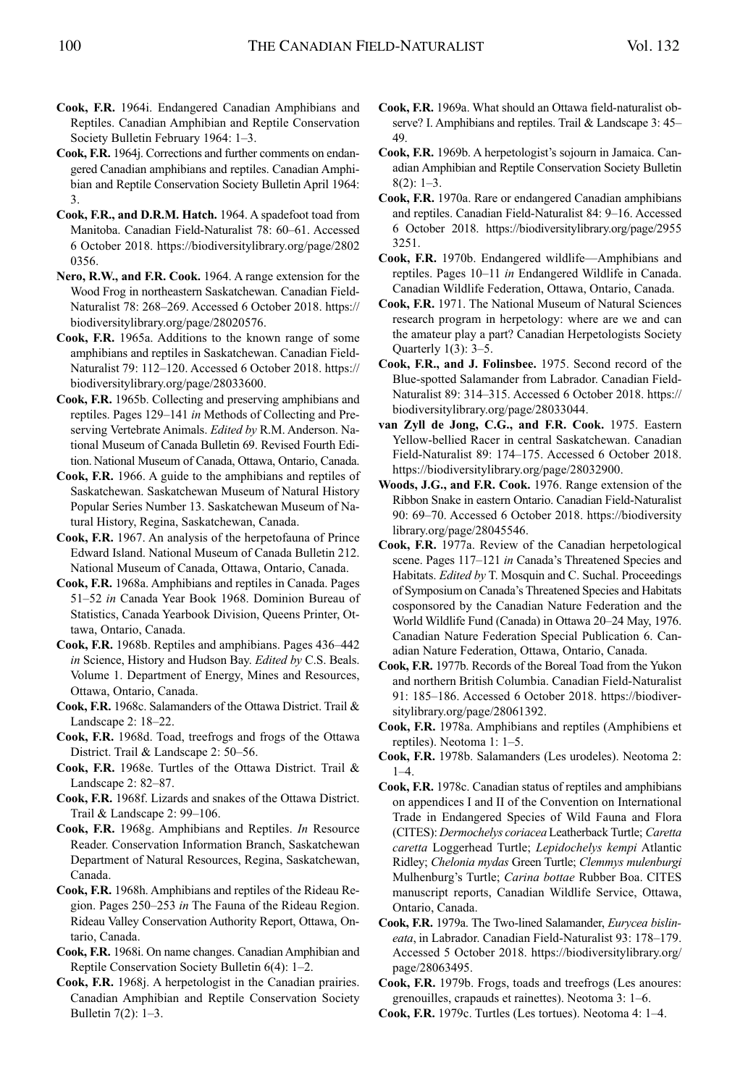- **Cook, F.R.** 1964i. Endangered Canadian Amphibians and Reptiles. Canadian Amphibian and Reptile Conservation Society Bulletin February 1964: 1–3.
- **Cook, F.R.** 1964j. Corrections and further comments on endangered Canadian amphibians and reptiles. Canadian Amphibian and Reptile Conservation Society Bulletin April 1964: 3.
- **Cook, F.R., and D.R.M. Hatch.** 1964. A spadefoot toad from Manitoba. Canadian Field-Naturalist 78: 60–61. Accessed 6 October 2018. [https://biodiversitylibrary.org/page/2802](https://biodiversitylibrary.org/page/28020356) [0356.](https://biodiversitylibrary.org/page/28020356)
- **Nero, R.W., and F.R. Cook.** 1964. A range extension for the Wood Frog in northeastern Saskatchewan. Canadian Field-Naturalist 78: 268–269. Accessed 6 October 2018. [https://](https://biodiversitylibrary.org/page/28020576) [biodiversitylibrary.org/page/28020576.](https://biodiversitylibrary.org/page/28020576)
- **Cook, F.R.** 1965a. Additions to the known range of some amphibians and reptiles in Saskatchewan. Canadian Field-Naturalist 79: 112–120. Accessed 6 October 2018. [https://](https://biodiversitylibrary.org/page/28033600) [biodiversitylibrary.org/page/28033600.](https://biodiversitylibrary.org/page/28033600)
- **Cook, F.R.** 1965b. Collecting and preserving amphibians and reptiles. Pages 129–141 *in* Methods of Collecting and Preserving Vertebrate Animals. *Edited by* R.M. Anderson. National Museum of Canada Bulletin 69. Revised Fourth Edition. National Museum of Canada, Ottawa, Ontario, Canada.
- **Cook, F.R.** 1966. A guide to the amphibians and reptiles of Saskatchewan. Saskatchewan Museum of Natural History Popular Series Number 13. Saskatchewan Museum of Natural History, Regina, Saskatchewan, Canada.
- **Cook, F.R.** 1967. An analysis of the herpetofauna of Prince Edward Island. National Museum of Canada Bulletin 212. National Museum of Canada, Ottawa, Ontario, Canada.
- **Cook, F.R.** 1968a. Amphibians and reptiles in Canada. Pages 51–52 *in* Canada Year Book 1968. Dominion Bureau of Statistics, Canada Yearbook Division, Queens Printer, Ottawa, Ontario, Canada.
- **Cook, F.R.** 1968b. Reptiles and amphibians. Pages 436–442 *in* Science, History and Hudson Bay. *Edited by* C.S. Beals. Volume 1. Department of Energy, Mines and Resources, Ottawa, Ontario, Canada.
- **Cook, F.R.** 1968c. Salamanders of the Ottawa District. Trail & Landscape 2: 18–22.
- **Cook, F.R.** 1968d. Toad, treefrogs and frogs of the Ottawa District. Trail & Landscape 2: 50–56.
- **Cook, F.R.** 1968e. Turtles of the Ottawa District. Trail & Landscape 2: 82–87.
- **Cook, F.R.** 1968f. Lizards and snakes of the Ottawa District. Trail & Landscape 2: 99–106.
- **Cook, F.R.** 1968g. Amphibians and Reptiles. *In* Resource Reader. Conservation Information Branch, Saskatchewan Department of Natural Resources, Regina, Saskatchewan, Canada.
- **Cook, F.R.** 1968h. Amphibians and reptiles of the Rideau Region. Pages 250–253 *in* The Fauna of the Rideau Region. Rideau Valley Conservation Authority Report, Ottawa, Ontario, Canada.
- **Cook, F.R.** 1968i. On name changes. Canadian Amphibian and Reptile Conservation Society Bulletin 6(4): 1–2.
- **Cook, F.R.** 1968j. A herpetologist in the Canadian prairies. Canadian Amphibian and Reptile Conservation Society Bulletin 7(2): 1–3.
- **Cook, F.R.** 1969a. What should an Ottawa field-naturalist observe? I. Amphibians and reptiles. Trail & Landscape 3: 45– 49.
- **Cook, F.R.** 1969b. A herpetologist's sojourn in Jamaica. Canadian Amphibian and Reptile Conservation Society Bulletin  $8(2): 1-3.$
- **Cook, F.R.** 1970a. Rare or endangered Canadian amphibians and reptiles. Canadian Field-Naturalist 84: 9–16. Accessed 6 October 2018. [https://biodiversitylibrary.org/page/2955](https://biodiversitylibrary.org/page/29553251) [3251.](https://biodiversitylibrary.org/page/29553251)
- **Cook, F.R.** 1970b. Endangered wildlife—Amphibians and reptiles. Pages 10–11 *in* Endangered Wildlife in Canada. Canadian Wildlife Federation, Ottawa, Ontario, Canada.
- **Cook, F.R.** 1971. The National Museum of Natural Sciences research program in herpetology: where are we and can the amateur play a part? Canadian Herpetologists Society Quarterly 1(3): 3–5.
- **Cook, F.R., and J. Folinsbee.** 1975. Second record of the Blue-spotted Salamander from Labrador. Canadian Field-Naturalist 89: 314–315. Accessed 6 October 2018. [https://](https://biodiversitylibrary.org/page/28033044) [biodiversitylibrary.org/page/28033044.](https://biodiversitylibrary.org/page/28033044)
- **van Zyll de Jong, C.G., and F.R. Cook.** 1975. Eastern Yellow-bellied Racer in central Saskatchewan. Canadian Field-Naturalist 89: 174–175. Accessed 6 October 2018. [https://biodiversitylibrary.org/page/28032900.](https://biodiversitylibrary.org/page/28032900)
- **Woods, J.G., and F.R. Cook.** 1976. Range extension of the Ribbon Snake in eastern Ontario. Canadian Field-Naturalist 90: 69–70. Accessed 6 October 2018. [https://biodiversity](https://biodiversitylibrary.org/page/28045546) [library.org/page/28045546.](https://biodiversitylibrary.org/page/28045546)
- **Cook, F.R.** 1977a. Review of the Canadian herpetological scene. Pages 117-121 *in* Canada's Threatened Species and Habitats. *Edited by* T. Mosquin and C. Suchal. Proceedings of Symposiumon Canada's Threatened Species and Habitats cosponsored by the Canadian Nature Federation and the World Wildlife Fund (Canada) in Ottawa 20–24 May, 1976. Canadian Nature Federation Special Publication 6. Canadian Nature Federation, Ottawa, Ontario, Canada.
- **Cook, F.R.** 1977b. Records of the Boreal Toad from the Yukon and northern British Columbia. Canadian Field-Naturalist 91: 185–186. Accessed 6 October 2018. [https://biodiver](https://biodiversitylibrary.org/page/28061392)[sitylibrary.org/page/28061392.](https://biodiversitylibrary.org/page/28061392)
- **Cook, F.R.** 1978a. Amphibians and reptiles (Amphibiens et reptiles). Neotoma 1: 1–5.
- **Cook, F.R.** 1978b. Salamanders (Les urodeles). Neotoma 2:  $1 - 4$
- **Cook, F.R.** 1978c. Canadian status of reptiles and amphibians on appendices I and II of the Convention on International Trade in Endangered Species of Wild Fauna and Flora (CITES): *Dermochelys coriacea*Leatherback Turtle; *Caretta caretta* Loggerhead Turtle; *Lepidochelys kempi* Atlantic Ridley; *Chelonia mydas* Green Turtle; *Clemmys mulenburgi* Mulhenburg's Turtle; *Carina bottae* Rubber Boa. CITES manuscript reports, Canadian Wildlife Service, Ottawa, Ontario, Canada.
- **Cook, F.R.** 1979a. The Two-lined Salamander, *Eurycea bislineata*, in Labrador. Canadian Field-Naturalist 93: 178–179. Accessed 5 October 2018. [https://biodiversitylibrary.org/](https://biodiversitylibrary.org/page/28063495) [page/28063495.](https://biodiversitylibrary.org/page/28063495)
- **Cook, F.R.** 1979b. Frogs, toads and treefrogs (Les anoures: grenouilles, crapauds et rainettes). Neotoma 3: 1–6.
- **Cook, F.R.** 1979c. Turtles (Les tortues). Neotoma 4: 1–4.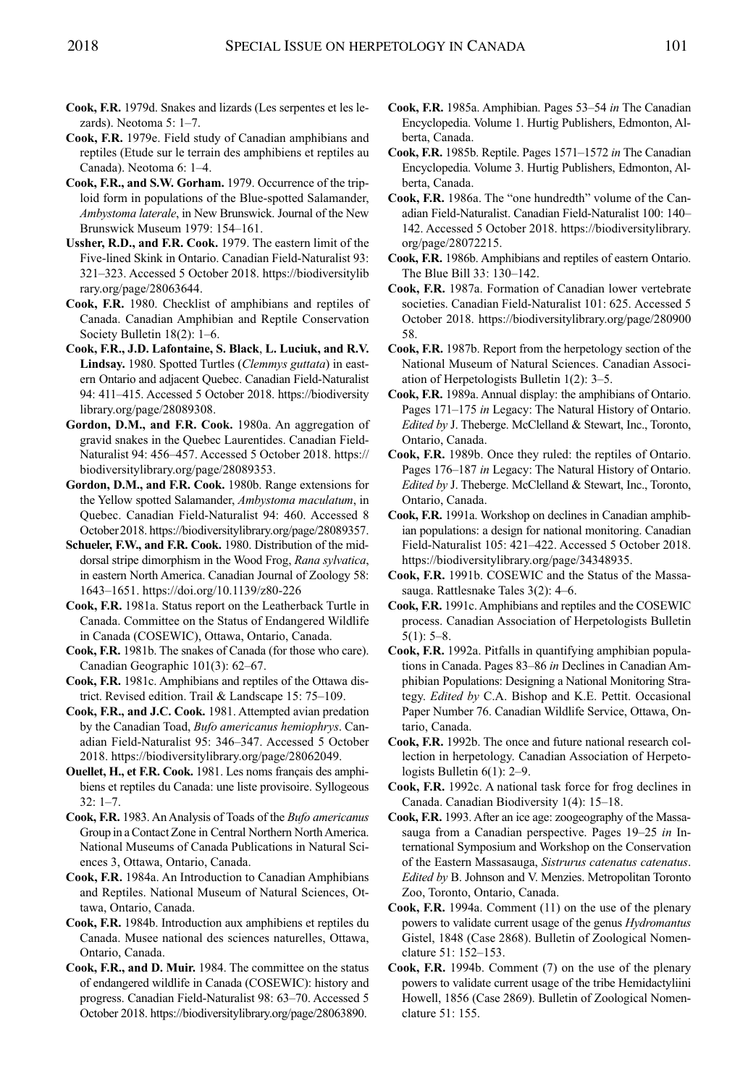- **Cook, F.R.** 1979d. Snakes and lizards (Les serpentes et les lezards). Neotoma 5: 1–7.
- **Cook, F.R.** 1979e. Field study of Canadian amphibians and reptiles (Etude sur le terrain des amphibiens et reptiles au Canada). Neotoma 6: 1–4.
- **Cook, F.R., and S.W. Gorham.** 1979. Occurrence of the triploid form in populations of the Blue-spotted Salamander, *Ambystoma laterale*, in New Brunswick. Journal of the New Brunswick Museum 1979: 154–161.
- **Ussher, R.D., and F.R. Cook.** 1979. The eastern limit of the Five-lined Skink in Ontario. Canadian Field-Naturalist 93: 321–323. Accessed 5 October 2018. [https://biodiversitylib](https://biodiversitylibrary.org/page/28063644) [rary.org/page/28063644.](https://biodiversitylibrary.org/page/28063644)
- **Cook, F.R.** 1980. Checklist of amphibians and reptiles of Canada. Canadian Amphibian and Reptile Conservation Society Bulletin 18(2): 1–6.
- **Cook, F.R., J.D. Lafontaine, S. Black**, **L. Luciuk, and R.V. Lindsay.** 1980. Spotted Turtles (*Clemmys guttata*) in eastern Ontario and adjacent Quebec. Canadian Field-Naturalist 94: 411–415. Accessed 5 October 2018. [https://biodiversity](https://biodiversitylibrary.org/page/28089308) [library.org/page/28089308.](https://biodiversitylibrary.org/page/28089308)
- **Gordon, D.M., and F.R. Cook.** 1980a. An aggregation of gravid snakes in the Quebec Laurentides. Canadian Field-Naturalist 94: 456–457. Accessed 5 October 2018. [https://](https://biodiversitylibrary.org/page/28089353) [biodiversitylibrary.org/page/28089353.](https://biodiversitylibrary.org/page/28089353)
- **Gordon, D.M., and F.R. Cook.** 1980b. Range extensions for the Yellow spotted Salamander, *Ambystoma maculatum*, in Quebec. Canadian Field-Naturalist 94: 460. Accessed 8 October2018. [https://biodiversitylibrary.org/page/28089357.](https://biodiversitylibrary.org/page/28089357)
- **Schueler, F.W., and F.R. Cook.** 1980. Distribution of the middorsal stripe dimorphism in the Wood Frog, *Rana sylvatica*, in eastern North America. Canadian Journal of Zoology 58: 1643–1651. <https://doi.org/10.1139/z80-226>
- **Cook, F.R.** 1981a. Status report on the Leatherback Turtle in Canada. Committee on the Status of Endangered Wildlife in Canada (COSEWIC), Ottawa, Ontario, Canada.
- **Cook, F.R.** 1981b. The snakes of Canada (for those who care). Canadian Geographic 101(3): 62–67.
- **Cook, F.R.** 1981c. Amphibians and reptiles of the Ottawa district. Revised edition. Trail & Landscape 15: 75–109.
- **Cook, F.R., and J.C. Cook.** 1981. Attempted avian predation by the Canadian Toad, *Bufo americanus hemiophrys*. Canadian Field-Naturalist 95: 346–347. Accessed 5 October 2018. [https://biodiversitylibrary.org/page/28062049.](https://biodiversitylibrary.org/page/28062049)
- **Ouellet, H., et F.R. Cook.** 1981. Les noms français des amphibiens et reptiles du Canada: une liste provisoire. Syllogeous 32: 1–7.
- **Cook, F.R.** 1983. An Analysis of Toads of the *Bufo americanus* Group in aContactZone in Central Northern North America. National Museums of Canada Publications in Natural Sciences 3, Ottawa, Ontario, Canada.
- **Cook, F.R.** 1984a. An Introduction to Canadian Amphibians and Reptiles. National Museum of Natural Sciences, Ottawa, Ontario, Canada.
- **Cook, F.R.** 1984b. Introduction aux amphibiens et reptiles du Canada. Musee national des sciences naturelles, Ottawa, Ontario, Canada.
- **Cook, F.R., and D. Muir.** 1984. The committee on the status of endangered wildlife in Canada (COSEWIC): history and progress. Canadian Field-Naturalist 98: 63–70. Accessed 5 October 2018. [https://biodiversitylibrary.org/page/28063890.](https://biodiversitylibrary.org/page/28063890)
- **Cook, F.R.** 1985a. Amphibian. Pages 53–54 *in* The Canadian Encyclopedia. Volume 1. Hurtig Publishers, Edmonton, Alberta, Canada.
- **Cook, F.R.** 1985b. Reptile. Pages 1571–1572 *in* The Canadian Encyclopedia. Volume 3. Hurtig Publishers, Edmonton, Alberta, Canada.
- **Cook, F.R.** 1986a. The "one hundredth" volume of the Canadian Field-Naturalist. Canadian Field-Naturalist 100: 140– 142. Accessed 5 October 2018. [https://biodiversitylibrary.](https://biodiversitylibrary.org/page/28072215) [org/page/28072215.](https://biodiversitylibrary.org/page/28072215)
- **Cook, F.R.** 1986b. Amphibians and reptiles of eastern Ontario. The Blue Bill 33: 130–142.
- **Cook, F.R.** 1987a. Formation of Canadian lower vertebrate societies. Canadian Field-Naturalist 101: 625. Accessed 5 October 2018. [https://biodiversitylibrary.org/page/280900](https://biodiversitylibrary.org/page/28090058) [58.](https://biodiversitylibrary.org/page/28090058)
- **Cook, F.R.** 1987b. Report from the herpetology section of the National Museum of Natural Sciences. Canadian Association of Herpetologists Bulletin 1(2): 3–5.
- **Cook, F.R.** 1989a. Annual display: the amphibians of Ontario. Pages 171–175 *in* Legacy: The Natural History of Ontario. *Edited by* J. Theberge. McClelland & Stewart, Inc., Toronto, Ontario, Canada.
- **Cook, F.R.** 1989b. Once they ruled: the reptiles of Ontario. Pages 176–187 *in* Legacy: The Natural History of Ontario. *Edited by* J. Theberge. McClelland & Stewart, Inc., Toronto, Ontario, Canada.
- **Cook, F.R.** 1991a. Workshop on declines in Canadian amphibian populations: a design for national monitoring. Canadian Field-Naturalist 105: 421–422. Accessed 5 October 2018. [https://biodiversitylibrary.org/page/34348935.](https://biodiversitylibrary.org/page/34348935)
- **Cook, F.R.** 1991b. COSEWIC and the Status of the Massasauga. Rattlesnake Tales 3(2): 4–6.
- **Cook, F.R.** 1991c. Amphibians and reptiles and the COSEWIC process. Canadian Association of Herpetologists Bulletin 5(1): 5–8.
- **Cook, F.R.** 1992a. Pitfalls in quantifying amphibian populations in Canada. Pages 83–86 *in* Declines in Canadian Amphibian Populations: Designing a National Monitoring Strategy. *Edited by* C.A. Bishop and K.E. Pettit. Occasional Paper Number 76. Canadian Wildlife Service, Ottawa, Ontario, Canada.
- **Cook, F.R.** 1992b. The once and future national research collection in herpetology. Canadian Association of Herpetologists Bulletin 6(1): 2–9.
- **Cook, F.R.** 1992c. A national task force for frog declines in Canada. Canadian Biodiversity 1(4): 15–18.
- **Cook, F.R.** 1993. After an ice age: zoogeography of the Massasauga from a Canadian perspective. Pages 19–25 *in* International Symposium and Workshop on the Conservation of the Eastern Massasauga, *Sistrurus catenatus catenatus*. *Edited by* B. Johnson and V. Menzies. Metropolitan Toronto Zoo, Toronto, Ontario, Canada.
- **Cook, F.R.** 1994a. Comment (11) on the use of the plenary powers to validate current usage of the genus *Hydromantus* Gistel, 1848 (Case 2868). Bulletin of Zoological Nomenclature 51: 152–153.
- **Cook, F.R.** 1994b. Comment (7) on the use of the plenary powers to validate current usage of the tribe Hemidactyliini Howell, 1856 (Case 2869). Bulletin of Zoological Nomenclature 51: 155.